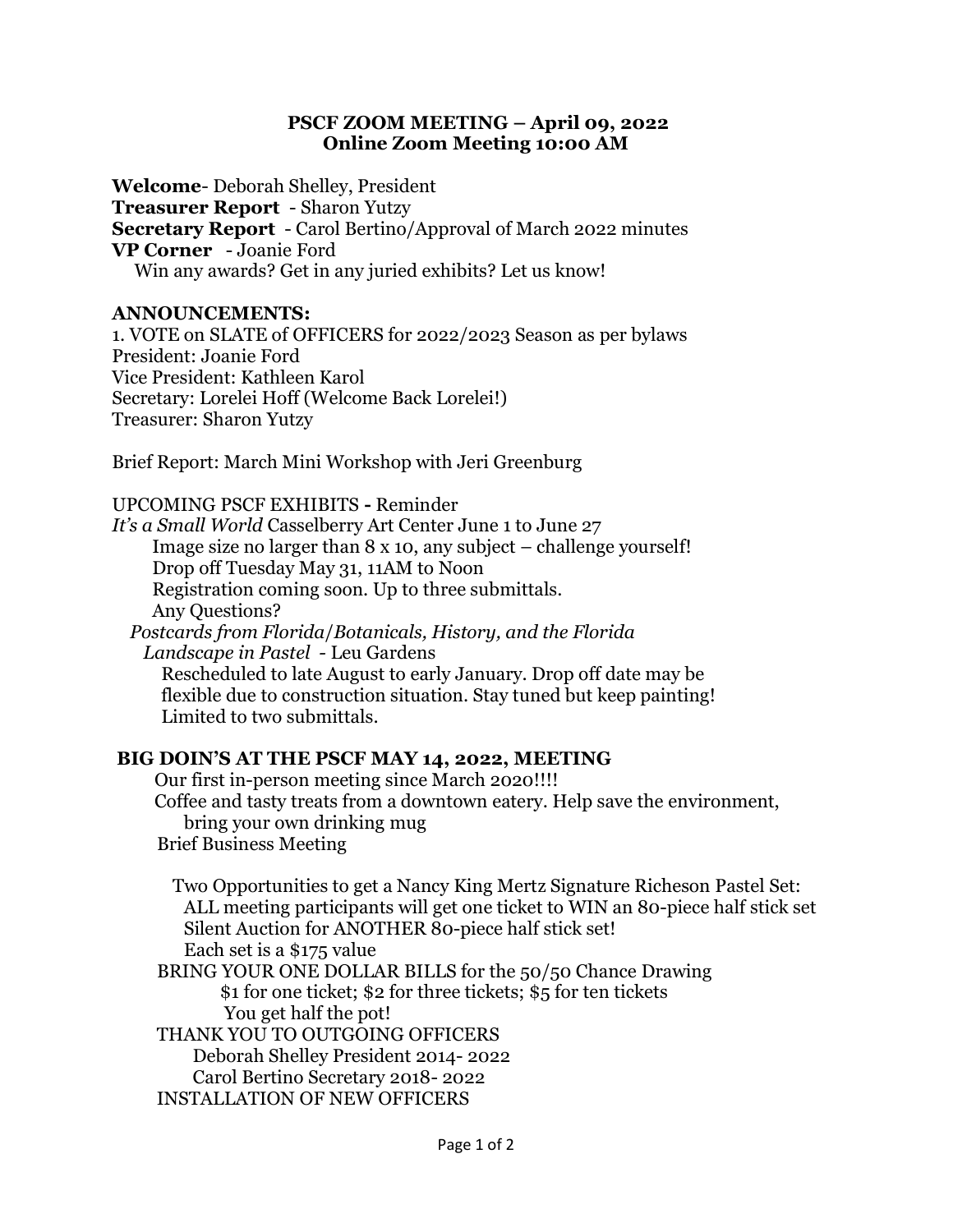## PSCF ZOOM MEETING – April 09, 2022 Online Zoom Meeting 10:00 AM

Welcome- Deborah Shelley, President Treasurer Report - Sharon Yutzy Secretary Report - Carol Bertino/Approval of March 2022 minutes VP Corner - Joanie Ford Win any awards? Get in any juried exhibits? Let us know!

### ANNOUNCEMENTS:

1. VOTE on SLATE of OFFICERS for 2022/2023 Season as per bylaws President: Joanie Ford Vice President: Kathleen Karol Secretary: Lorelei Hoff (Welcome Back Lorelei!) Treasurer: Sharon Yutzy

Brief Report: March Mini Workshop with Jeri Greenburg

UPCOMING PSCF EXHIBITS - Reminder

It's a Small World Casselberry Art Center June 1 to June 27 Image size no larger than 8 x 10, any subject – challenge yourself! Drop off Tuesday May 31, 11AM to Noon Registration coming soon. Up to three submittals. Any Questions? Postcards from Florida/Botanicals, History, and the Florida

 Landscape in Pastel - Leu Gardens Rescheduled to late August to early January. Drop off date may be flexible due to construction situation. Stay tuned but keep painting! Limited to two submittals.

### BIG DOIN'S AT THE PSCF MAY 14, 2022, MEETING

 Our first in-person meeting since March 2020!!!! Coffee and tasty treats from a downtown eatery. Help save the environment, bring your own drinking mug Brief Business Meeting

Two Opportunities to get a Nancy King Mertz Signature Richeson Pastel Set: ALL meeting participants will get one ticket to WIN an 80-piece half stick set Silent Auction for ANOTHER 80-piece half stick set! Each set is a \$175 value BRING YOUR ONE DOLLAR BILLS for the 50/50 Chance Drawing

 \$1 for one ticket; \$2 for three tickets; \$5 for ten tickets You get half the pot!

THANK YOU TO OUTGOING OFFICERS

Deborah Shelley President 2014- 2022

Carol Bertino Secretary 2018- 2022

INSTALLATION OF NEW OFFICERS